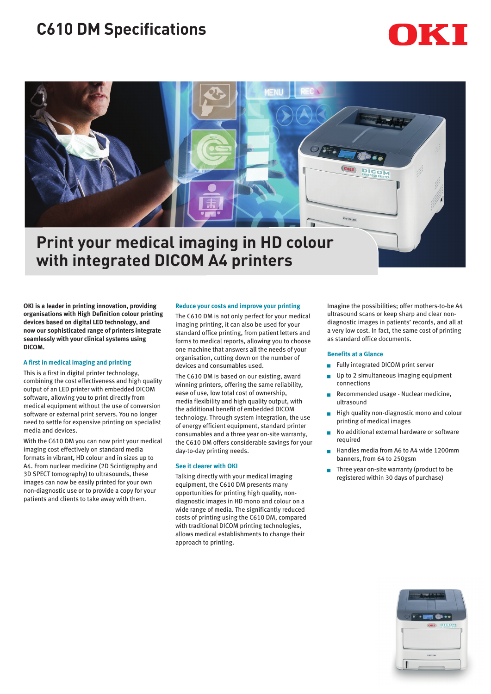# **C610 DM Specifications**



## **Print your medical imaging in HD colour with integrated DICOM A4 printers**

**OKI is a leader in printing innovation, providing organisations with High Definition colour printing devices based on digital LED technology, and now our sophisticated range of printers integrate seamlessly with your clinical systems using DICOM.**

## **A first in medical imaging and printing**

This is a first in digital printer technology, combining the cost effectiveness and high quality output of an LED printer with embedded DICOM software, allowing you to print directly from medical equipment without the use of conversion software or external print servers. You no longer need to settle for expensive printing on specialist media and devices.

With the C610 DM you can now print your medical imaging cost effectively on standard media formats in vibrant, HD colour and in sizes up to A4. From nuclear medicine (2D Scintigraphy and 3D SPECT tomography) to ultrasounds, these images can now be easily printed for your own non-diagnostic use or to provide a copy for your patients and clients to take away with them.

## **Reduce your costs and improve your printing**

The C610 DM is not only perfect for your medical imaging printing, it can also be used for your standard office printing, from patient letters and forms to medical reports, allowing you to choose one machine that answers all the needs of your organisation, cutting down on the number of devices and consumables used.

The C610 DM is based on our existing, award winning printers, offering the same reliability, ease of use, low total cost of ownership, media flexibility and high quality output, with the additional benefit of embedded DICOM technology. Through system integration, the use of energy efficient equipment, standard printer consumables and a three year on-site warranty, the C610 DM offers considerable savings for your day-to-day printing needs.

## **See it clearer with OKI**

Talking directly with your medical imaging equipment, the C610 DM presents many opportunities for printing high quality, nondiagnostic images in HD mono and colour on a wide range of media. The significantly reduced costs of printing using the C610 DM, compared with traditional DICOM printing technologies, allows medical establishments to change their approach to printing.

Imagine the possibilities; offer mothers-to-be A4 ultrasound scans or keep sharp and clear nondiagnostic images in patients' records, and all at a very low cost. In fact, the same cost of printing as standard office documents.

## **Benefits at a Glance**

- Fully integrated DICOM print server
- **D** Up to 2 simultaneous imaging equipment connections
- Recommended usage Nuclear medicine, ultrasound
- High quality non-diagnostic mono and colour printing of medical images
- No additional external hardware or software required
- Handles media from A6 to A4 wide 1200mm banners, from 64 to 250gsm
- Three year on-site warranty (product to be registered within 30 days of purchase)